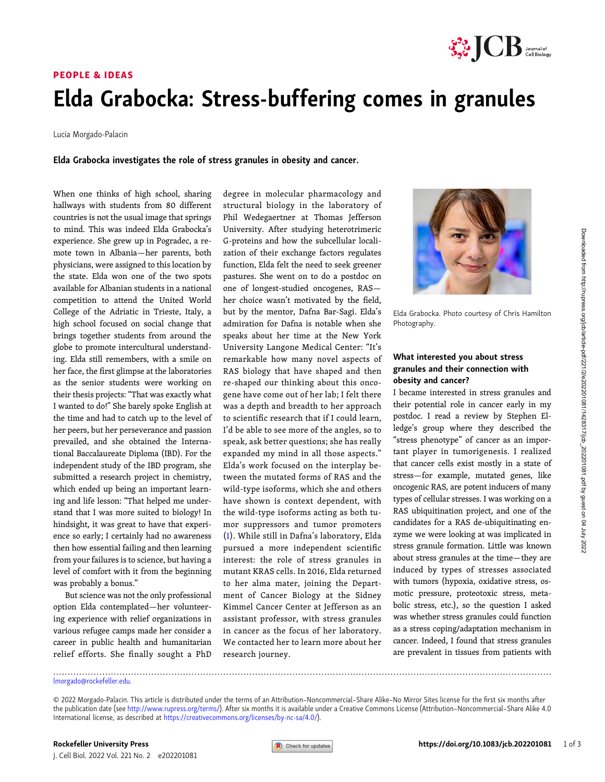

## PEOPLE & IDEAS Elda Grabocka: Stress-buffering comes in granules

Lucia Morgado-Palacin

Elda Grabocka investigates the role of stress granules in obesity and cancer.

When one thinks of high school, sharing hallways with students from 80 different countries is not the usual image that springs to mind. This was indeed Elda Grabocka's experience. She grew up in Pogradec, a remote town in Albania—her parents, both physicians, were assigned to this location by the state. Elda won one of the two spots available for Albanian students in a national competition to attend the United World College of the Adriatic in Trieste, Italy, a high school focused on social change that brings together students from around the globe to promote intercultural understanding. Elda still remembers, with a smile on her face, the first glimpse at the laboratories as the senior students were working on their thesis projects: "That was exactly what I wanted to do!" She barely spoke English at the time and had to catch up to the level of her peers, but her perseverance and passion prevailed, and she obtained the International Baccalaureate Diploma (IBD). For the independent study of the IBD program, she submitted a research project in chemistry, which ended up being an important learning and life lesson: "That helped me understand that I was more suited to biology! In hindsight, it was great to have that experience so early; I certainly had no awareness then how essential failing and then learning from your failures is to science, but having a level of comfort with it from the beginning was probably a bonus."

But science was not the only professional option Elda contemplated—her volunteering experience with relief organizations in various refugee camps made her consider a career in public health and humanitarian relief efforts. She finally sought a PhD

degree in molecular pharmacology and structural biology in the laboratory of Phil Wedegaertner at Thomas Jefferson University. After studying heterotrimeric G-proteins and how the subcellular localization of their exchange factors regulates function, Elda felt the need to seek greener pastures. She went on to do a postdoc on one of longest-studied oncogenes, RAS her choice wasn't motivated by the field, but by the mentor, Dafna Bar-Sagi. Elda's admiration for Dafna is notable when she speaks about her time at the New York University Langone Medical Center: "It's remarkable how many novel aspects of RAS biology that have shaped and then re-shaped our thinking about this oncogene have come out of her lab; I felt there was a depth and breadth to her approach to scientific research that if I could learn, I'd be able to see more of the angles, so to speak, ask better questions; she has really expanded my mind in all those aspects." Elda's work focused on the interplay between the mutated forms of RAS and the wild-type isoforms, which she and others have shown is context dependent, with the wild-type isoforms acting as both tumor suppressors and tumor promoters [\(1\)](#page-2-0). While still in Dafna's laboratory, Elda pursued a more independent scientific interest: the role of stress granules in mutant KRAS cells. In 2016, Elda returned to her alma mater, joining the Department of Cancer Biology at the Sidney Kimmel Cancer Center at Jefferson as an assistant professor, with stress granules in cancer as the focus of her laboratory. We contacted her to learn more about her research journey.



Elda Grabocka. Photo courtesy of Chris Hamilton Photography.

#### What interested you about stress granules and their connection with obesity and cancer?

I became interested in stress granules and their potential role in cancer early in my postdoc. I read a review by Stephen Elledge's group where they described the "stress phenotype" of cancer as an important player in tumorigenesis. I realized that cancer cells exist mostly in a state of stress—for example, mutated genes, like oncogenic RAS, are potent inducers of many types of cellular stresses. I was working on a RAS ubiquitination project, and one of the candidates for a RAS de-ubiquitinating enzyme we were looking at was implicated in stress granule formation. Little was known about stress granules at the time—they are induced by types of stresses associated with tumors (hypoxia, oxidative stress, osmotic pressure, proteotoxic stress, metabolic stress, etc.), so the question I asked was whether stress granules could function as a stress coping/adaptation mechanism in cancer. Indeed, I found that stress granules are prevalent in tissues from patients with

<sup>.............................................................................................................................................................................</sup> [lmorgado@rockefeller.edu](mailto:lmorgado@rockefeller.edu).

<sup>© 2022</sup> Morgado-Palacin. This article is distributed under the terms of an Attribution–Noncommercial–Share Alike–No Mirror Sites license for the first six months after the publication date (see <http://www.rupress.org/terms/>). After six months it is available under a Creative Commons License (Attribution–Noncommercial–Share Alike 4.0 International license, as described at <https://creativecommons.org/licenses/by-nc-sa/4.0/>).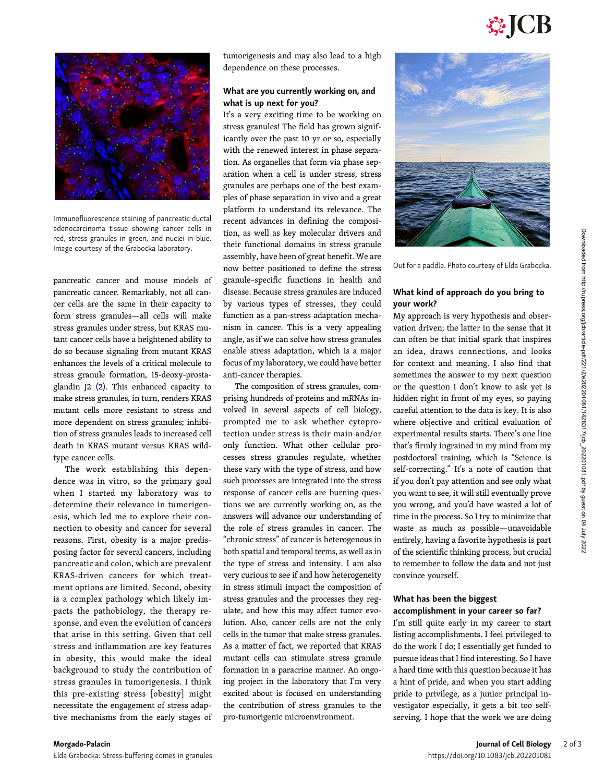# **SSICB**



Immunofluorescence staining of pancreatic ductal adenocarcinoma tissue showing cancer cells in red, stress granules in green, and nuclei in blue. Image courtesy of the Grabocka laboratory.

pancreatic cancer and mouse models of pancreatic cancer. Remarkably, not all cancer cells are the same in their capacity to form stress granules—all cells will make stress granules under stress, but KRAS mutant cancer cells have a heightened ability to do so because signaling from mutant KRAS enhances the levels of a critical molecule to stress granule formation, 15-deoxy-prostaglandin J2  $(2)$  $(2)$ . This enhanced capacity to make stress granules, in turn, renders KRAS mutant cells more resistant to stress and more dependent on stress granules; inhibition of stress granules leads to increased cell death in KRAS mutant versus KRAS wildtype cancer cells.

The work establishing this dependence was in vitro, so the primary goal when I started my laboratory was to determine their relevance in tumorigenesis, which led me to explore their connection to obesity and cancer for several reasons. First, obesity is a major predisposing factor for several cancers, including pancreatic and colon, which are prevalent KRAS-driven cancers for which treatment options are limited. Second, obesity is a complex pathology which likely impacts the pathobiology, the therapy response, and even the evolution of cancers that arise in this setting. Given that cell stress and inflammation are key features in obesity, this would make the ideal background to study the contribution of stress granules in tumorigenesis. I think this pre-existing stress [obesity] might necessitate the engagement of stress adaptive mechanisms from the early stages of tumorigenesis and may also lead to a high dependence on these processes.

#### What are you currently working on, and what is up next for you?

It's a very exciting time to be working on stress granules! The field has grown significantly over the past 10 yr or so, especially with the renewed interest in phase separation. As organelles that form via phase separation when a cell is under stress, stress granules are perhaps one of the best examples of phase separation in vivo and a great platform to understand its relevance. The recent advances in defining the composition, as well as key molecular drivers and their functional domains in stress granule assembly, have been of great benefit. We are now better positioned to define the stress granule–specific functions in health and disease. Because stress granules are induced by various types of stresses, they could function as a pan-stress adaptation mechanism in cancer. This is a very appealing angle, as if we can solve how stress granules enable stress adaptation, which is a major focus of my laboratory, we could have better anti-cancer therapies.

The composition of stress granules, comprising hundreds of proteins and mRNAs involved in several aspects of cell biology, prompted me to ask whether cytoprotection under stress is their main and/or only function. What other cellular processes stress granules regulate, whether these vary with the type of stress, and how such processes are integrated into the stress response of cancer cells are burning questions we are currently working on, as the answers will advance our understanding of the role of stress granules in cancer. The "chronic stress" of cancer is heterogenous in both spatial and temporal terms, as well as in the type of stress and intensity. I am also very curious to see if and how heterogeneity in stress stimuli impact the composition of stress granules and the processes they regulate, and how this may affect tumor evolution. Also, cancer cells are not the only cells in the tumor that make stress granules. As a matter of fact, we reported that KRAS mutant cells can stimulate stress granule formation in a paracrine manner. An ongoing project in the laboratory that I'm very excited about is focused on understanding the contribution of stress granules to the pro-tumorigenic microenvironment.



Out for a paddle. Photo courtesy of Elda Grabocka.

#### What kind of approach do you bring to your work?

My approach is very hypothesis and observation driven; the latter in the sense that it can often be that initial spark that inspires an idea, draws connections, and looks for context and meaning. I also find that sometimes the answer to my next question or the question I don't know to ask yet is hidden right in front of my eyes, so paying careful attention to the data is key. It is also where objective and critical evaluation of experimental results starts. There's one line that's firmly ingrained in my mind from my postdoctoral training, which is "Science is self-correcting." It's a note of caution that if you don't pay attention and see only what you want to see, it will still eventually prove you wrong, and you'd have wasted a lot of time in the process. So I try to minimize that waste as much as possible—unavoidable entirely, having a favorite hypothesis is part of the scientific thinking process, but crucial to remember to follow the data and not just convince yourself.

#### What has been the biggest accomplishment in your career so far?

I'm still quite early in my career to start listing accomplishments. I feel privileged to do the work I do; I essentially get funded to pursue ideas that I find interesting. So I have a hard time with this question because it has a hint of pride, and when you start adding pride to privilege, as a junior principal investigator especially, it gets a bit too selfserving. I hope that the work we are doing